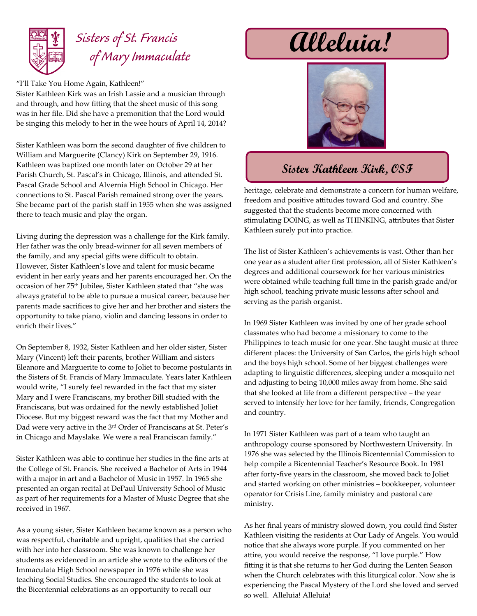

## *Sisters of St. Francis of Mary Immaculate*

"I'll Take You Home Again, Kathleen!" Sister Kathleen Kirk was an Irish Lassie and a musician through and through, and how fitting that the sheet music of this song was in her file. Did she have a premonition that the Lord would

Sister Kathleen was born the second daughter of five children to William and Marguerite (Clancy) Kirk on September 29, 1916. Kathleen was baptized one month later on October 29 at her Parish Church, St. Pascal's in Chicago, Illinois, and attended St. Pascal Grade School and Alvernia High School in Chicago. Her connections to St. Pascal Parish remained strong over the years. She became part of the parish staff in 1955 when she was assigned there to teach music and play the organ.

be singing this melody to her in the wee hours of April 14, 2014?

Living during the depression was a challenge for the Kirk family. Her father was the only bread-winner for all seven members of the family, and any special gifts were difficult to obtain. However, Sister Kathleen's love and talent for music became evident in her early years and her parents encouraged her. On the occasion of her 75th Jubilee, Sister Kathleen stated that "she was always grateful to be able to pursue a musical career, because her parents made sacrifices to give her and her brother and sisters the opportunity to take piano, violin and dancing lessons in order to enrich their lives."

On September 8, 1932, Sister Kathleen and her older sister, Sister Mary (Vincent) left their parents, brother William and sisters Eleanore and Marguerite to come to Joliet to become postulants in the Sisters of St. Francis of Mary Immaculate. Years later Kathleen would write, "I surely feel rewarded in the fact that my sister Mary and I were Franciscans, my brother Bill studied with the Franciscans, but was ordained for the newly established Joliet Diocese. But my biggest reward was the fact that my Mother and Dad were very active in the 3rd Order of Franciscans at St. Peter's in Chicago and Mayslake. We were a real Franciscan family."

Sister Kathleen was able to continue her studies in the fine arts at the College of St. Francis. She received a Bachelor of Arts in 1944 with a major in art and a Bachelor of Music in 1957. In 1965 she presented an organ recital at DePaul University School of Music as part of her requirements for a Master of Music Degree that she received in 1967.

As a young sister, Sister Kathleen became known as a person who was respectful, charitable and upright, qualities that she carried with her into her classroom. She was known to challenge her students as evidenced in an article she wrote to the editors of the Immaculata High School newspaper in 1976 while she was teaching Social Studies. She encouraged the students to look at the Bicentennial celebrations as an opportunity to recall our

## **Alleluia!**



## **Sister Kathleen Kirk, OSF**

heritage, celebrate and demonstrate a concern for human welfare, freedom and positive attitudes toward God and country. She suggested that the students become more concerned with stimulating DOING, as well as THINKING, attributes that Sister Kathleen surely put into practice.

The list of Sister Kathleen's achievements is vast. Other than her one year as a student after first profession, all of Sister Kathleen's degrees and additional coursework for her various ministries were obtained while teaching full time in the parish grade and/or high school, teaching private music lessons after school and serving as the parish organist.

In 1969 Sister Kathleen was invited by one of her grade school classmates who had become a missionary to come to the Philippines to teach music for one year. She taught music at three different places: the University of San Carlos, the girls high school and the boys high school. Some of her biggest challenges were adapting to linguistic differences, sleeping under a mosquito net and adjusting to being 10,000 miles away from home. She said that she looked at life from a different perspective – the year served to intensify her love for her family, friends, Congregation and country.

In 1971 Sister Kathleen was part of a team who taught an anthropology course sponsored by Northwestern University. In 1976 she was selected by the Illinois Bicentennial Commission to help compile a Bicentennial Teacher's Resource Book. In 1981 after forty-five years in the classroom, she moved back to Joliet and started working on other ministries – bookkeeper, volunteer operator for Crisis Line, family ministry and pastoral care ministry.

As her final years of ministry slowed down, you could find Sister Kathleen visiting the residents at Our Lady of Angels. You would notice that she always wore purple. If you commented on her attire, you would receive the response, "I love purple." How fitting it is that she returns to her God during the Lenten Season when the Church celebrates with this liturgical color. Now she is experiencing the Pascal Mystery of the Lord she loved and served so well. Alleluia! Alleluia!